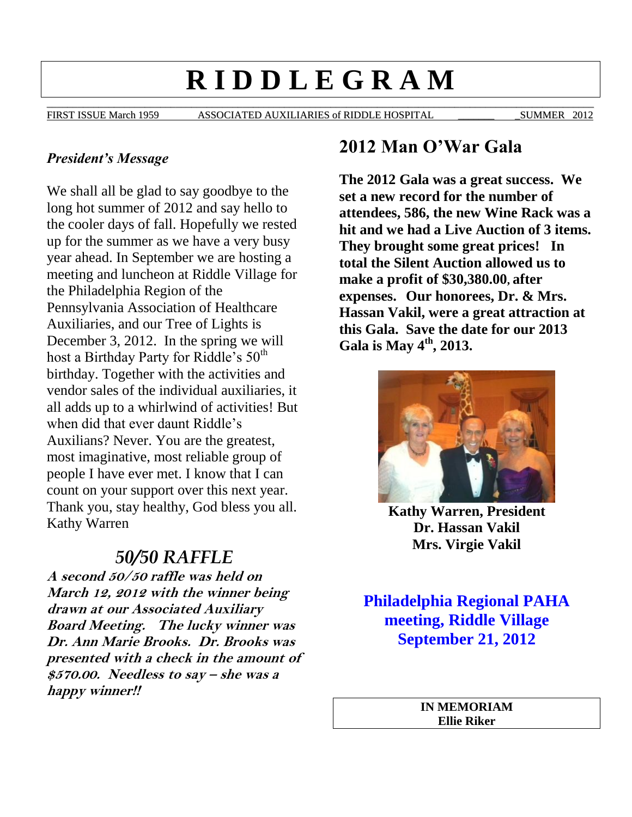# **R I D D L E G R A M**

\_\_\_\_\_\_\_\_\_\_\_\_\_\_\_\_\_\_\_\_\_\_\_\_\_\_\_\_\_\_\_\_\_\_\_\_\_\_\_\_\_\_\_\_\_\_\_\_\_\_\_\_\_\_\_\_\_\_\_\_\_\_\_\_\_\_\_\_\_\_\_\_\_\_\_\_\_\_\_\_\_\_\_\_\_\_\_\_\_\_\_\_\_\_\_\_\_\_\_\_\_\_\_\_\_\_ FIRST ISSUE March 1959 ASSOCIATED AUXILIARIES of RIDDLE HOSPITAL SUMMER 2012

#### *President's Message*

We shall all be glad to say goodbye to the long hot summer of 2012 and say hello to the cooler days of fall. Hopefully we rested up for the summer as we have a very busy year ahead. In September we are hosting a meeting and luncheon at Riddle Village for the Philadelphia Region of the Pennsylvania Association of Healthcare Auxiliaries, and our Tree of Lights is December 3, 2012. In the spring we will host a Birthday Party for Riddle's  $50<sup>th</sup>$ birthday. Together with the activities and vendor sales of the individual auxiliaries, it all adds up to a whirlwind of activities! But when did that ever daunt Riddle's Auxilians? Never. You are the greatest, most imaginative, most reliable group of people I have ever met. I know that I can count on your support over this next year. Thank you, stay healthy, God bless you all. Kathy Warren

# *50/50 RAFFLE*

**A second 50/50 raffle was held on March 12, 2012 with the winner being drawn at our Associated Auxiliary Board Meeting. The lucky winner was Dr. Ann Marie Brooks. Dr. Brooks was presented with a check in the amount of \$570.00. Needless to say – she was a happy winner!!**

## **2012 Man O'War Gala**

**The 2012 Gala was a great success. We set a new record for the number of attendees, 586, the new Wine Rack was a hit and we had a Live Auction of 3 items. They brought some great prices! In total the Silent Auction allowed us to make a profit of \$30,380.00, after expenses. Our honorees, Dr. & Mrs. Hassan Vakil, were a great attraction at this Gala. Save the date for our 2013 Gala is May 4th , 2013.**



**Kathy Warren, President Dr. Hassan Vakil Mrs. Virgie Vakil**

**Philadelphia Regional PAHA meeting, Riddle Village September 21, 2012**

> **IN MEMORIAM Ellie Riker**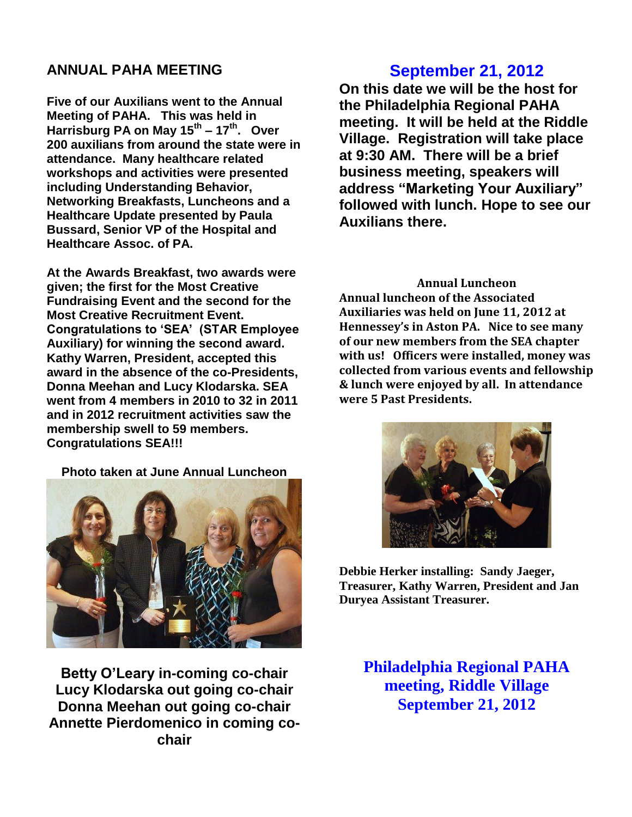#### **ANNUAL PAHA MEETING**

**Five of our Auxilians went to the Annual Meeting of PAHA. This was held in Harrisburg PA on May 15th – 17th. Over 200 auxilians from around the state were in attendance. Many healthcare related workshops and activities were presented including Understanding Behavior, Networking Breakfasts, Luncheons and a Healthcare Update presented by Paula Bussard, Senior VP of the Hospital and Healthcare Assoc. of PA.** 

**At the Awards Breakfast, two awards were given; the first for the Most Creative Fundraising Event and the second for the Most Creative Recruitment Event. Congratulations to 'SEA' (STAR Employee Auxiliary) for winning the second award. Kathy Warren, President, accepted this award in the absence of the co-Presidents, Donna Meehan and Lucy Klodarska. SEA went from 4 members in 2010 to 32 in 2011 and in 2012 recruitment activities saw the membership swell to 59 members. Congratulations SEA!!!**

**Photo taken at June Annual Luncheon**



**Betty O'Leary in-coming co-chair Lucy Klodarska out going co-chair Donna Meehan out going co-chair Annette Pierdomenico in coming cochair**

## **September 21, 2012**

**On this date we will be the host for the Philadelphia Regional PAHA meeting. It will be held at the Riddle Village. Registration will take place at 9:30 AM. There will be a brief business meeting, speakers will address "Marketing Your Auxiliary" followed with lunch. Hope to see our Auxilians there.** 

**Annual Luncheon Annual luncheon of the Associated Auxiliaries was held on June 11, 2012 at Hennessey's in Aston PA. Nice to see many of our new members from the SEA chapter with us! Officers were installed, money was collected from various events and fellowship & lunch were enjoyed by all. In attendance were 5 Past Presidents.** 



**Debbie Herker installing: Sandy Jaeger, Treasurer, Kathy Warren, President and Jan Duryea Assistant Treasurer.**

**Philadelphia Regional PAHA meeting, Riddle Village September 21, 2012**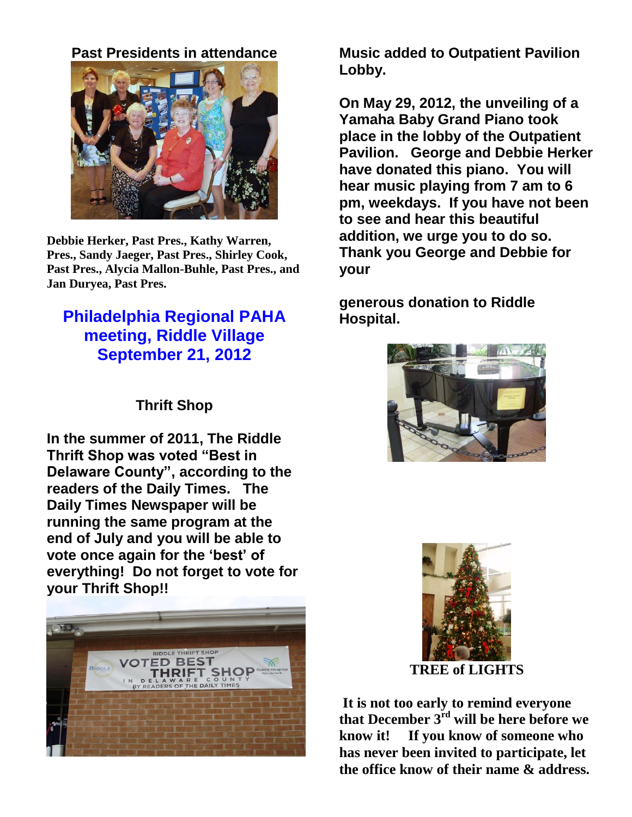**Past Presidents in attendance**



**Debbie Herker, Past Pres., Kathy Warren, Pres., Sandy Jaeger, Past Pres., Shirley Cook, Past Pres., Alycia Mallon-Buhle, Past Pres., and Jan Duryea, Past Pres.**

# **Philadelphia Regional PAHA meeting, Riddle Village September 21, 2012**

## **Thrift Shop**

**In the summer of 2011, The Riddle Thrift Shop was voted "Best in Delaware County", according to the readers of the Daily Times. The Daily Times Newspaper will be running the same program at the end of July and you will be able to vote once again for the 'best' of everything! Do not forget to vote for your Thrift Shop!!** 



**Music added to Outpatient Pavilion Lobby.**

**On May 29, 2012, the unveiling of a Yamaha Baby Grand Piano took place in the lobby of the Outpatient Pavilion. George and Debbie Herker have donated this piano. You will hear music playing from 7 am to 6 pm, weekdays. If you have not been to see and hear this beautiful addition, we urge you to do so. Thank you George and Debbie for your** 

**generous donation to Riddle Hospital.** 





**TREE of LIGHTS**

**It is not too early to remind everyone that December 3rd will be here before we know it! If you know of someone who has never been invited to participate, let the office know of their name & address.**